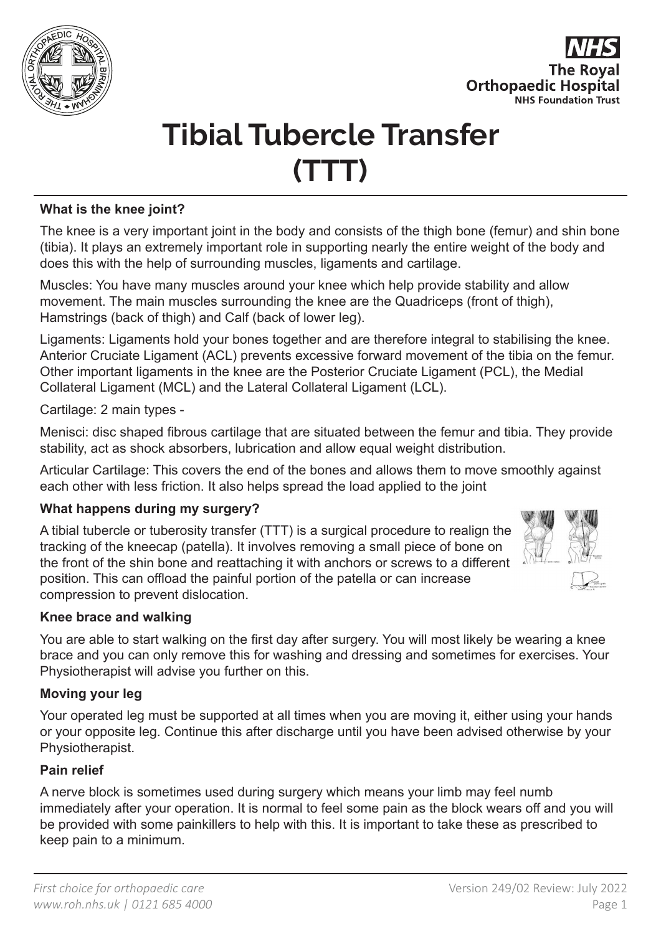



# **Tibial Tubercle Transfer (TTT)**

#### **What is the knee joint?**

The knee is a very important joint in the body and consists of the thigh bone (femur) and shin bone (tibia). It plays an extremely important role in supporting nearly the entire weight of the body and does this with the help of surrounding muscles, ligaments and cartilage.

Muscles: You have many muscles around your knee which help provide stability and allow movement. The main muscles surrounding the knee are the Quadriceps (front of thigh), Hamstrings (back of thigh) and Calf (back of lower leg).

Ligaments: Ligaments hold your bones together and are therefore integral to stabilising the knee. Anterior Cruciate Ligament (ACL) prevents excessive forward movement of the tibia on the femur. Other important ligaments in the knee are the Posterior Cruciate Ligament (PCL), the Medial Collateral Ligament (MCL) and the Lateral Collateral Ligament (LCL).

Cartilage: 2 main types -

Menisci: disc shaped fibrous cartilage that are situated between the femur and tibia. They provide stability, act as shock absorbers, lubrication and allow equal weight distribution.

Articular Cartilage: This covers the end of the bones and allows them to move smoothly against each other with less friction. It also helps spread the load applied to the joint

#### **What happens during my surgery?**

A tibial tubercle or tuberosity transfer (TTT) is a surgical procedure to realign the tracking of the kneecap (patella). It involves removing a small piece of bone on the front of the shin bone and reattaching it with anchors or screws to a different position. This can offload the painful portion of the patella or can increase compression to prevent dislocation.



#### **Knee brace and walking**

You are able to start walking on the first day after surgery. You will most likely be wearing a knee brace and you can only remove this for washing and dressing and sometimes for exercises. Your Physiotherapist will advise you further on this.

#### **Moving your leg**

Your operated leg must be supported at all times when you are moving it, either using your hands or your opposite leg. Continue this after discharge until you have been advised otherwise by your Physiotherapist.

#### **Pain relief**

A nerve block is sometimes used during surgery which means your limb may feel numb immediately after your operation. It is normal to feel some pain as the block wears off and you will be provided with some painkillers to help with this. It is important to take these as prescribed to keep pain to a minimum.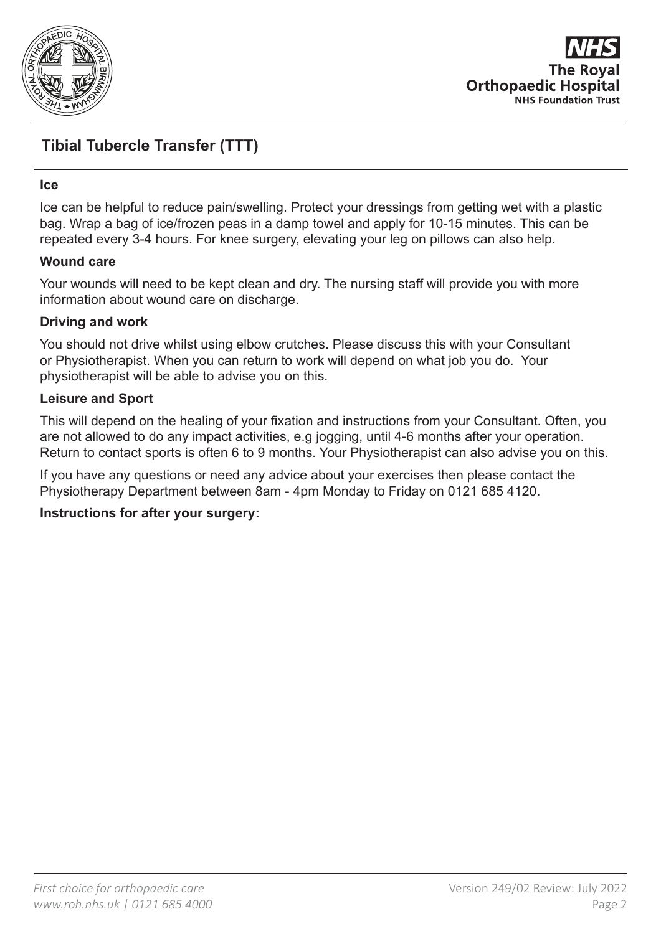

**The Roval Orthopaedic Hospital NHS Foundation Trust** 

### **Tibial Tubercle Transfer (TTT)**

#### **Ice**

Ice can be helpful to reduce pain/swelling. Protect your dressings from getting wet with a plastic bag. Wrap a bag of ice/frozen peas in a damp towel and apply for 10-15 minutes. This can be repeated every 3-4 hours. For knee surgery, elevating your leg on pillows can also help.

#### **Wound care**

Your wounds will need to be kept clean and dry. The nursing staff will provide you with more information about wound care on discharge.

#### **Driving and work**

You should not drive whilst using elbow crutches. Please discuss this with your Consultant or Physiotherapist. When you can return to work will depend on what job you do. Your physiotherapist will be able to advise you on this.

#### **Leisure and Sport**

This will depend on the healing of your fixation and instructions from your Consultant. Often, you are not allowed to do any impact activities, e.g jogging, until 4-6 months after your operation. Return to contact sports is often 6 to 9 months. Your Physiotherapist can also advise you on this.

If you have any questions or need any advice about your exercises then please contact the Physiotherapy Department between 8am - 4pm Monday to Friday on 0121 685 4120.

#### **Instructions for after your surgery:**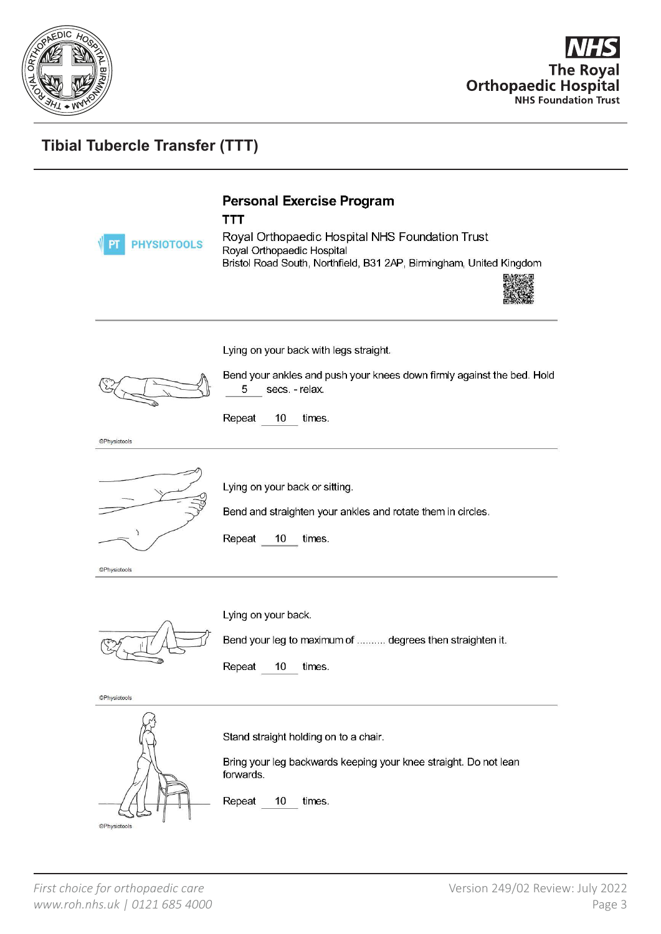



# **Tibial Tubercle Transfer (TTT)**

| <b>PHYSIOTOOLS</b>  | <b>Personal Exercise Program</b><br>TTT<br>Royal Orthopaedic Hospital NHS Foundation Trust<br>Royal Orthopaedic Hospital<br>Bristol Road South, Northfield, B31 2AP, Birmingham, United Kingdom |
|---------------------|-------------------------------------------------------------------------------------------------------------------------------------------------------------------------------------------------|
| <b>CPhysiotools</b> | Lying on your back with legs straight.<br>Bend your ankles and push your knees down firmly against the bed. Hold<br>5<br>secs. - relax.<br>Repeat<br>10<br>times.                               |
| <b>©Physiotools</b> | Lying on your back or sitting.<br>Bend and straighten your ankles and rotate them in circles.<br>Repeat 10<br>times.                                                                            |
| <b>©Physiotools</b> | Lying on your back.<br>Bend your leg to maximum of  degrees then straighten it.<br>Repeat<br>10<br>times.                                                                                       |
| <b>©Physiotools</b> | Stand straight holding on to a chair.<br>Bring your leg backwards keeping your knee straight. Do not lean<br>forwards.<br>Repeat<br>10<br>times.                                                |